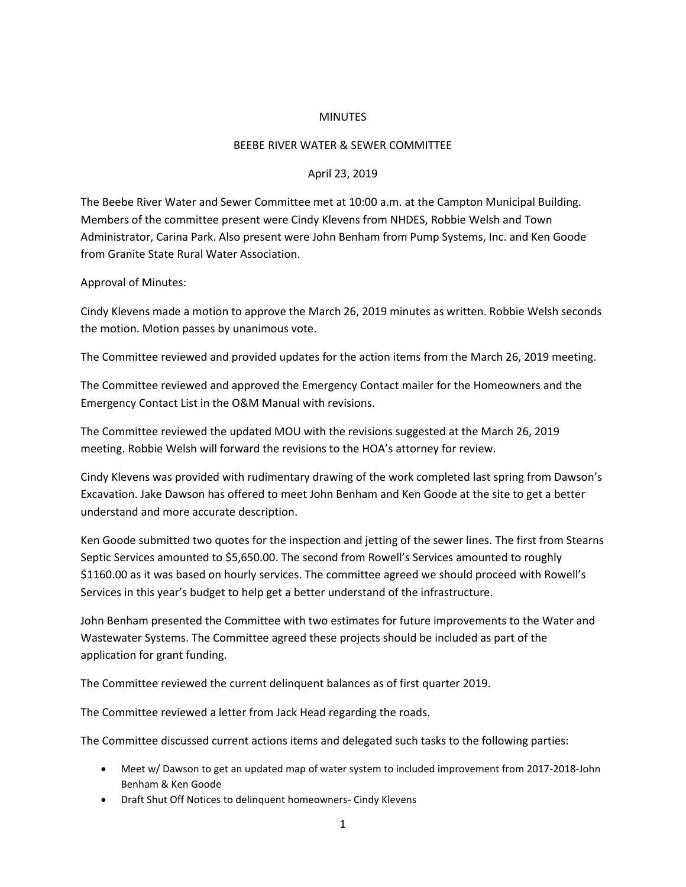## **MINUTES**

## BEEBE RIVER WATER & SEWER COMMITTEE

## April 23, 2019

The Beebe River Water and Sewer Committee met at 10:00 a.m. at the Campton Municipal Building. Members of the committee present were Cindy Klevens from NHDES, Robbie Welsh and Town Administrator, Carina Park. Also present were John Benham from Pump Systems, Inc. and Ken Goode from Granite State Rural Water Association.

## Approval of Minutes:

Cindy Klevens made a motion to approve the March 26, 2019 minutes as written. Robbie Welsh seconds the motion. Motion passes by unanimous vote.

The Committee reviewed and provided updates for the action items from the March 26, 2019 meeting.

The Committee reviewed and approved the Emergency Contact mailer for the Homeowners and the Emergency Contact List in the O&M Manual with revisions.

The Committee reviewed the updated MOU with the revisions suggested at the March 26, 2019 meeting. Robbie Welsh will forward the revisions to the HOA's attorney for review.

Cindy Klevens was provided with rudimentary drawing of the work completed last spring from Dawson's Excavation. Jake Dawson has offered to meet John Benham and Ken Goode at the site to get a better understand and more accurate description.

Ken Goode submitted two quotes for the inspection and jetting of the sewer lines. The first from Stearns Septic Services amounted to \$5,650.00. The second from Rowell's Services amounted to roughly \$1160.00 as it was based on hourly services. The committee agreed we should proceed with Rowell's Services in this year's budget to help get a better understand of the infrastructure.

John Benham presented the Committee with two estimates for future improvements to the Water and Wastewater Systems. The Committee agreed these projects should be included as part of the application for grant funding.

The Committee reviewed the current delinquent balances as of first quarter 2019.

The Committee reviewed a letter from Jack Head regarding the roads.

The Committee discussed current actions items and delegated such tasks to the following parties:

- Meet w/ Dawson to get an updated map of water system to included improvement from 2017-2018-John Benham & Ken Goode
- Draft Shut Off Notices to delinquent homeowners- Cindy Klevens